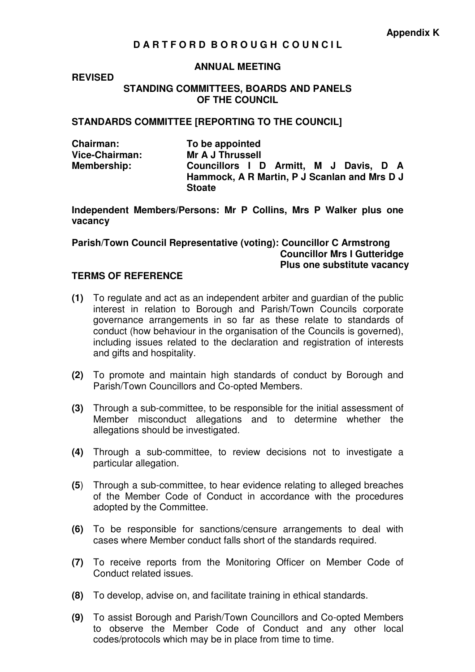# **D A R T F O R D B O R O U G H C O U N C I L**

#### **ANNUAL MEETING**

### **REVISED**

#### **STANDING COMMITTEES, BOARDS AND PANELS OF THE COUNCIL**

### **STANDARDS COMMITTEE [REPORTING TO THE COUNCIL]**

**Chairman:** To be appointed<br>Vice-Chairman: Mr A J Thrussell **Mr A J Thrussell Membership: Councillors I D Armitt, M J Davis, D A Hammock, A R Martin, P J Scanlan and Mrs D J Stoate** 

**Independent Members/Persons: Mr P Collins, Mrs P Walker plus one vacancy** 

**Parish/Town Council Representative (voting): Councillor C Armstrong Councillor Mrs I Gutteridge Plus one substitute vacancy** 

## **TERMS OF REFERENCE**

- **(1)** To regulate and act as an independent arbiter and guardian of the public interest in relation to Borough and Parish/Town Councils corporate governance arrangements in so far as these relate to standards of conduct (how behaviour in the organisation of the Councils is governed), including issues related to the declaration and registration of interests and gifts and hospitality.
- **(2)** To promote and maintain high standards of conduct by Borough and Parish/Town Councillors and Co-opted Members.
- **(3)** Through a sub-committee, to be responsible for the initial assessment of Member misconduct allegations and to determine whether the allegations should be investigated.
- **(4)** Through a sub-committee, to review decisions not to investigate a particular allegation.
- **(5**) Through a sub-committee, to hear evidence relating to alleged breaches of the Member Code of Conduct in accordance with the procedures adopted by the Committee.
- **(6)** To be responsible for sanctions/censure arrangements to deal with cases where Member conduct falls short of the standards required.
- **(7)** To receive reports from the Monitoring Officer on Member Code of Conduct related issues.
- **(8)** To develop, advise on, and facilitate training in ethical standards.
- **(9)** To assist Borough and Parish/Town Councillors and Co-opted Members to observe the Member Code of Conduct and any other local codes/protocols which may be in place from time to time.